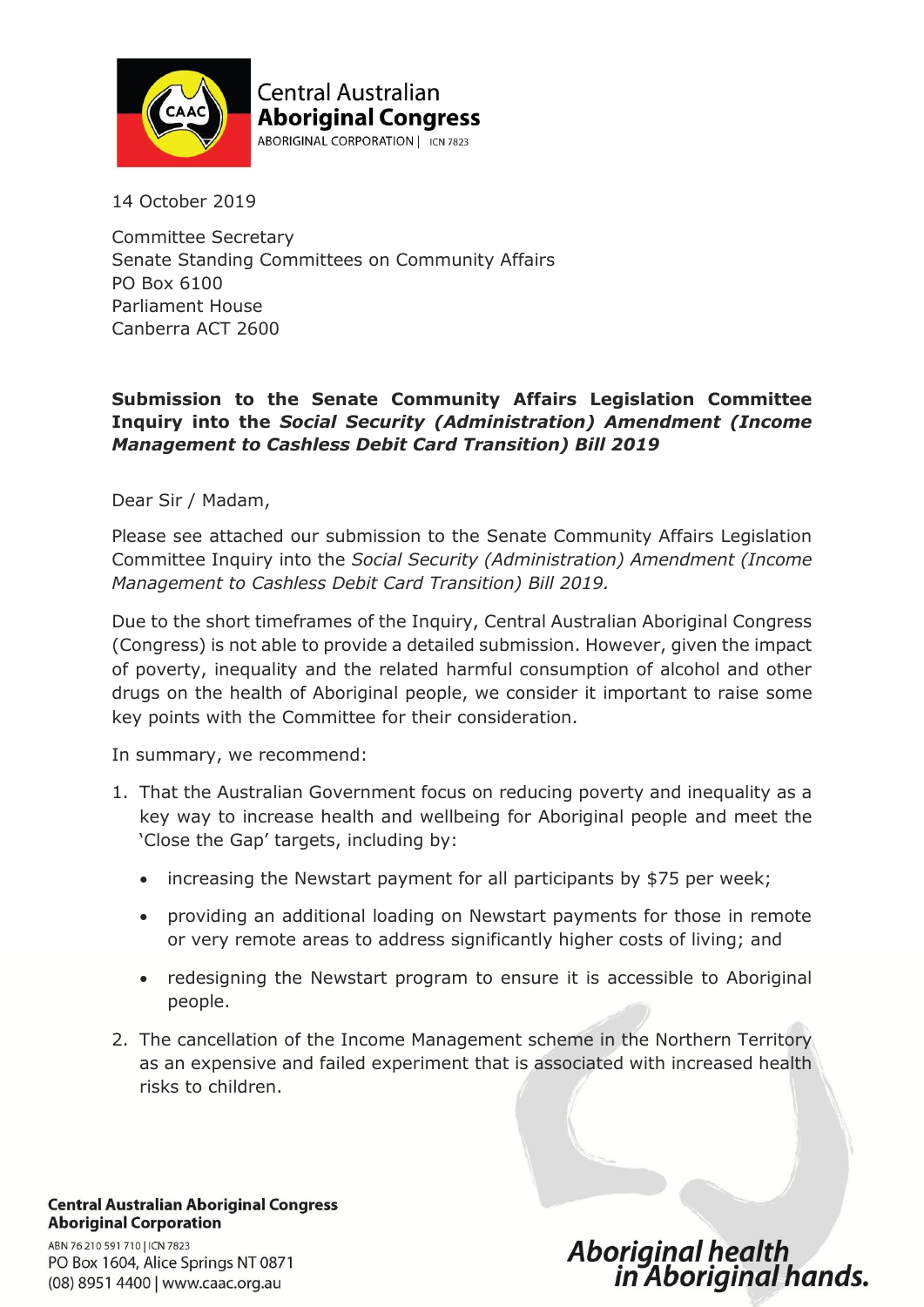

**Central Australian Aboriginal Congress** ABORIGINAL CORPORATION | ICN 7823

14 October 2019

Committee Secretary Senate Standing Committees on Community Affairs PO Box 6100 Parliament House Canberra ACT 2600

#### **Submission to the Senate Community Affairs Legislation Committee Inquiry into the** *Social Security (Administration) Amendment (Income Management to Cashless Debit Card Transition) Bill 2019*

Dear Sir / Madam,

Please see attached our submission to the Senate Community Affairs Legislation Committee Inquiry into the *Social Security (Administration) Amendment (Income Management to Cashless Debit Card Transition) Bill 2019.*

Due to the short timeframes of the Inquiry, Central Australian Aboriginal Congress (Congress) is not able to provide a detailed submission. However, given the impact of poverty, inequality and the related harmful consumption of alcohol and other drugs on the health of Aboriginal people, we consider it important to raise some key points with the Committee for their consideration.

In summary, we recommend:

- 1. That the Australian Government focus on reducing poverty and inequality as a key way to increase health and wellbeing for Aboriginal people and meet the 'Close the Gap' targets, including by:
	- increasing the Newstart payment for all participants by \$75 per week;
	- providing an additional loading on Newstart payments for those in remote or very remote areas to address significantly higher costs of living; and
	- redesigning the Newstart program to ensure it is accessible to Aboriginal people.
- 2. The cancellation of the Income Management scheme in the Northern Territory as an expensive and failed experiment that is associated with increased health risks to children.

**Central Australian Aboriginal Congress Aboriginal Corporation** ABN 76 210 591 710 | ICN 7823 PO Box 1604, Alice Springs NT 0871 (08) 8951 4400 | www.caac.org.au

# Aboriginal health<br>in Aboriginal hands.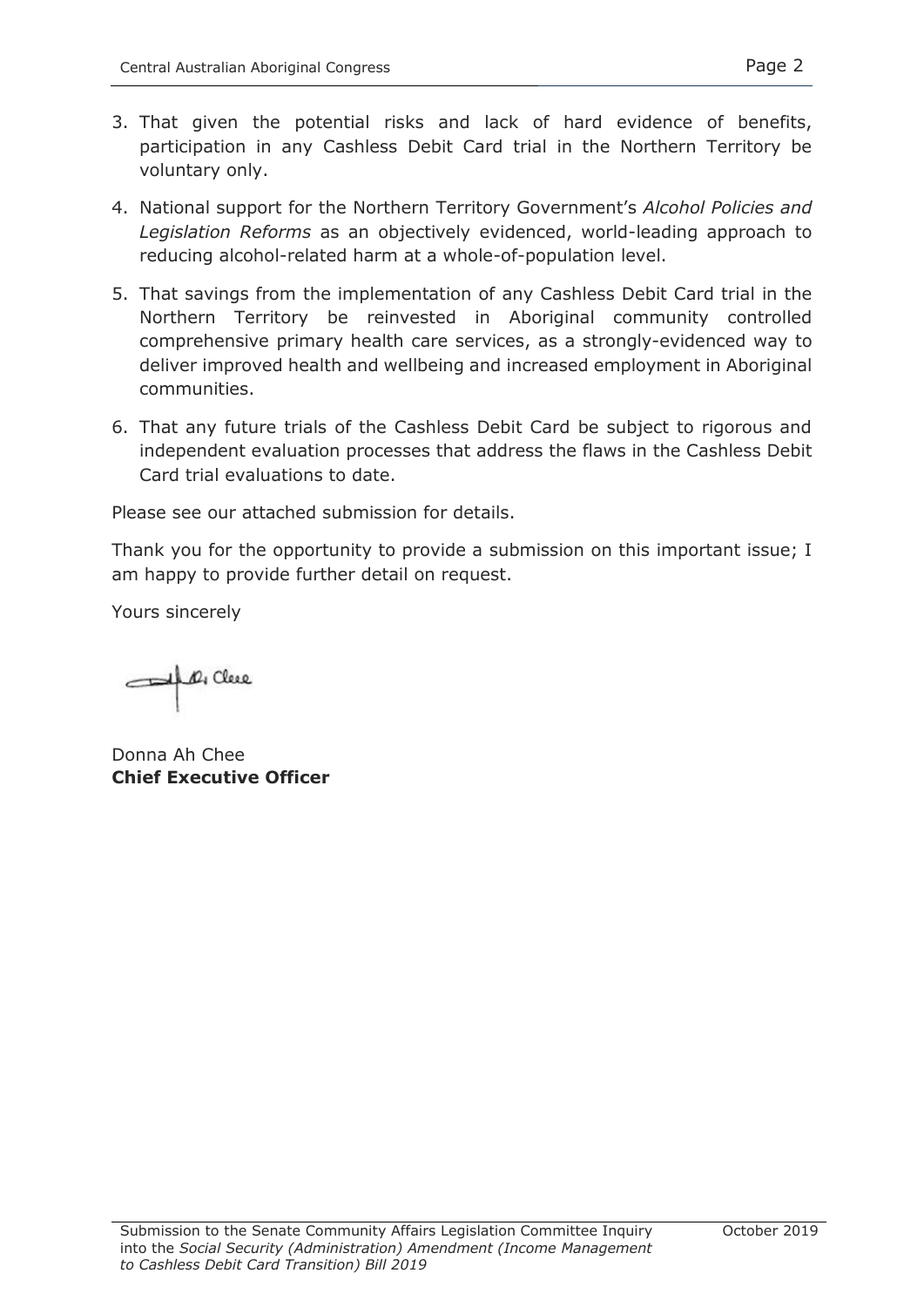- 3. That given the potential risks and lack of hard evidence of benefits, participation in any Cashless Debit Card trial in the Northern Territory be voluntary only.
- 4. National support for the Northern Territory Government's *Alcohol Policies and Legislation Reforms* as an objectively evidenced, world-leading approach to reducing alcohol-related harm at a whole-of-population level.
- 5. That savings from the implementation of any Cashless Debit Card trial in the Northern Territory be reinvested in Aboriginal community controlled comprehensive primary health care services, as a strongly-evidenced way to deliver improved health and wellbeing and increased employment in Aboriginal communities.
- 6. That any future trials of the Cashless Debit Card be subject to rigorous and independent evaluation processes that address the flaws in the Cashless Debit Card trial evaluations to date.

Please see our attached submission for details.

Thank you for the opportunity to provide a submission on this important issue; I am happy to provide further detail on request.

Yours sincerely

Al Of Clerc

Donna Ah Chee **Chief Executive Officer**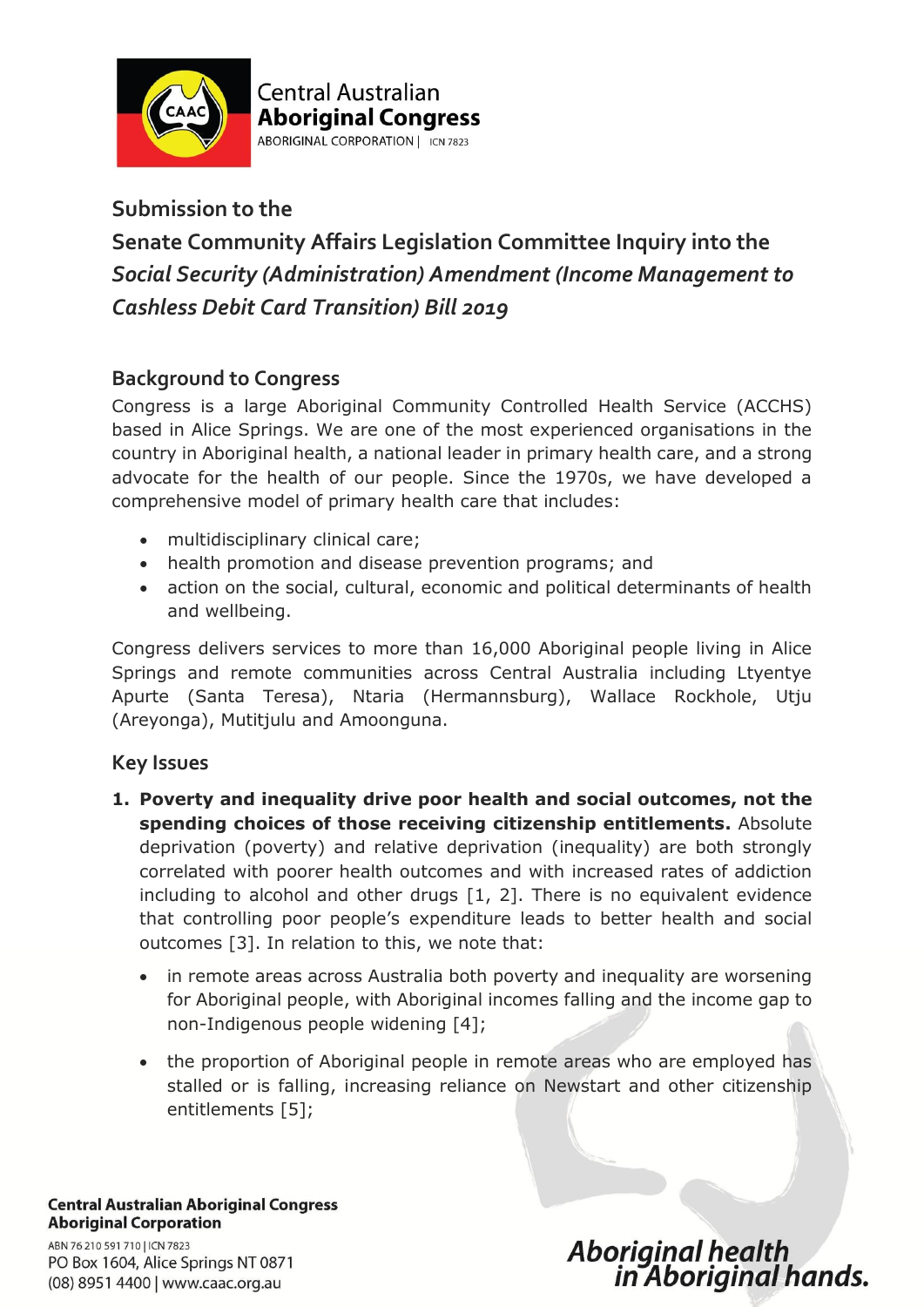

# **Submission to the**

# **Senate Community Affairs Legislation Committee Inquiry into the** *Social Security (Administration) Amendment (Income Management to Cashless Debit Card Transition) Bill 2019*

# **Background to Congress**

Congress is a large Aboriginal Community Controlled Health Service (ACCHS) based in Alice Springs. We are one of the most experienced organisations in the country in Aboriginal health, a national leader in primary health care, and a strong advocate for the health of our people. Since the 1970s, we have developed a comprehensive model of primary health care that includes:

- multidisciplinary clinical care;
- health promotion and disease prevention programs; and
- action on the social, cultural, economic and political determinants of health and wellbeing.

Congress delivers services to more than 16,000 Aboriginal people living in Alice Springs and remote communities across Central Australia including Ltyentye Apurte (Santa Teresa), Ntaria (Hermannsburg), Wallace Rockhole, Utju (Areyonga), Mutitjulu and Amoonguna.

## **Key Issues**

- **1. Poverty and inequality drive poor health and social outcomes, not the spending choices of those receiving citizenship entitlements.** Absolute deprivation (poverty) and relative deprivation (inequality) are both strongly correlated with poorer health outcomes and with increased rates of addiction including to alcohol and other drugs [1, 2]. There is no equivalent evidence that controlling poor people's expenditure leads to better health and social outcomes [3]. In relation to this, we note that:
	- in remote areas across Australia both poverty and inequality are worsening for Aboriginal people, with Aboriginal incomes falling and the income gap to non-Indigenous people widening [4];
	- the proportion of Aboriginal people in remote areas who are employed has stalled or is falling, increasing reliance on Newstart and other citizenship entitlements [5];

**Central Australian Aboriginal Congress Aboriginal Corporation** ABN 76 210 591 710 | ICN 7823 PO Box 1604, Alice Springs NT 0871 (08) 8951 4400 | www.caac.org.au

Aboriginal health<br>in Aboriginal hands.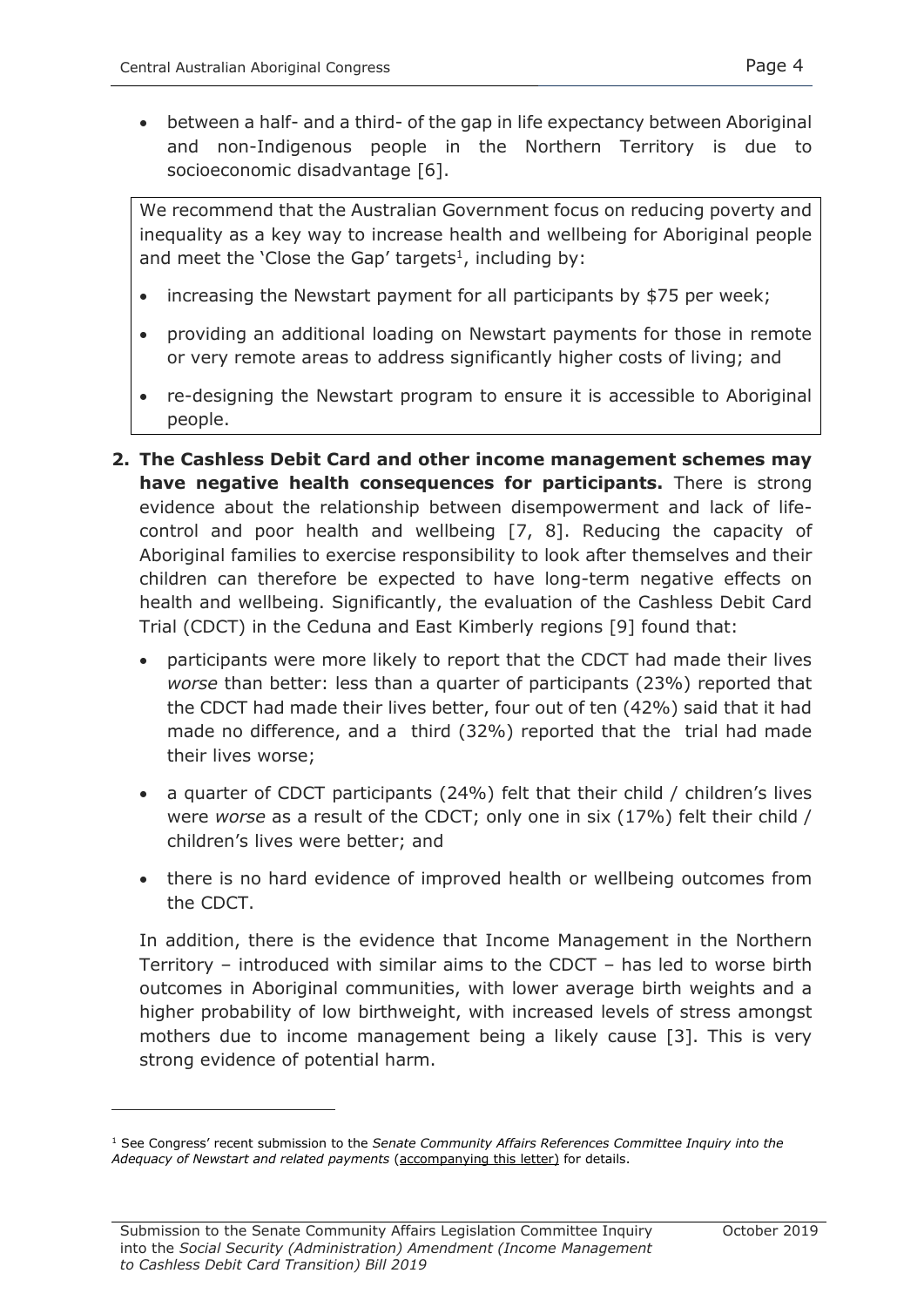between a half- and a third- of the gap in life expectancy between Aboriginal and non-Indigenous people in the Northern Territory is due to socioeconomic disadvantage [6].

We recommend that the Australian Government focus on reducing poverty and inequality as a key way to increase health and wellbeing for Aboriginal people and meet the 'Close the Gap' targets<sup>1</sup>, including by:

- increasing the Newstart payment for all participants by \$75 per week;
- providing an additional loading on Newstart payments for those in remote or very remote areas to address significantly higher costs of living; and
- re-designing the Newstart program to ensure it is accessible to Aboriginal people.
- **2. The Cashless Debit Card and other income management schemes may have negative health consequences for participants.** There is strong evidence about the relationship between disempowerment and lack of lifecontrol and poor health and wellbeing [7, 8]. Reducing the capacity of Aboriginal families to exercise responsibility to look after themselves and their children can therefore be expected to have long-term negative effects on health and wellbeing. Significantly, the evaluation of the Cashless Debit Card Trial (CDCT) in the Ceduna and East Kimberly regions [9] found that:
	- participants were more likely to report that the CDCT had made their lives *worse* than better: less than a quarter of participants (23%) reported that the CDCT had made their lives better, four out of ten (42%) said that it had made no difference, and a third (32%) reported that the trial had made their lives worse;
	- a quarter of CDCT participants (24%) felt that their child / children's lives were *worse* as a result of the CDCT; only one in six (17%) felt their child / children's lives were better; and
	- there is no hard evidence of improved health or wellbeing outcomes from the CDCT.

In addition, there is the evidence that Income Management in the Northern Territory – introduced with similar aims to the CDCT – has led to worse birth outcomes in Aboriginal communities, with lower average birth weights and a higher probability of low birthweight, with increased levels of stress amongst mothers due to income management being a likely cause [3]. This is very strong evidence of potential harm.

-

<sup>1</sup> See Congress' recent submission to the *Senate Community Affairs References Committee Inquiry into the Adequacy of Newstart and related payments* (accompanying this letter) for details.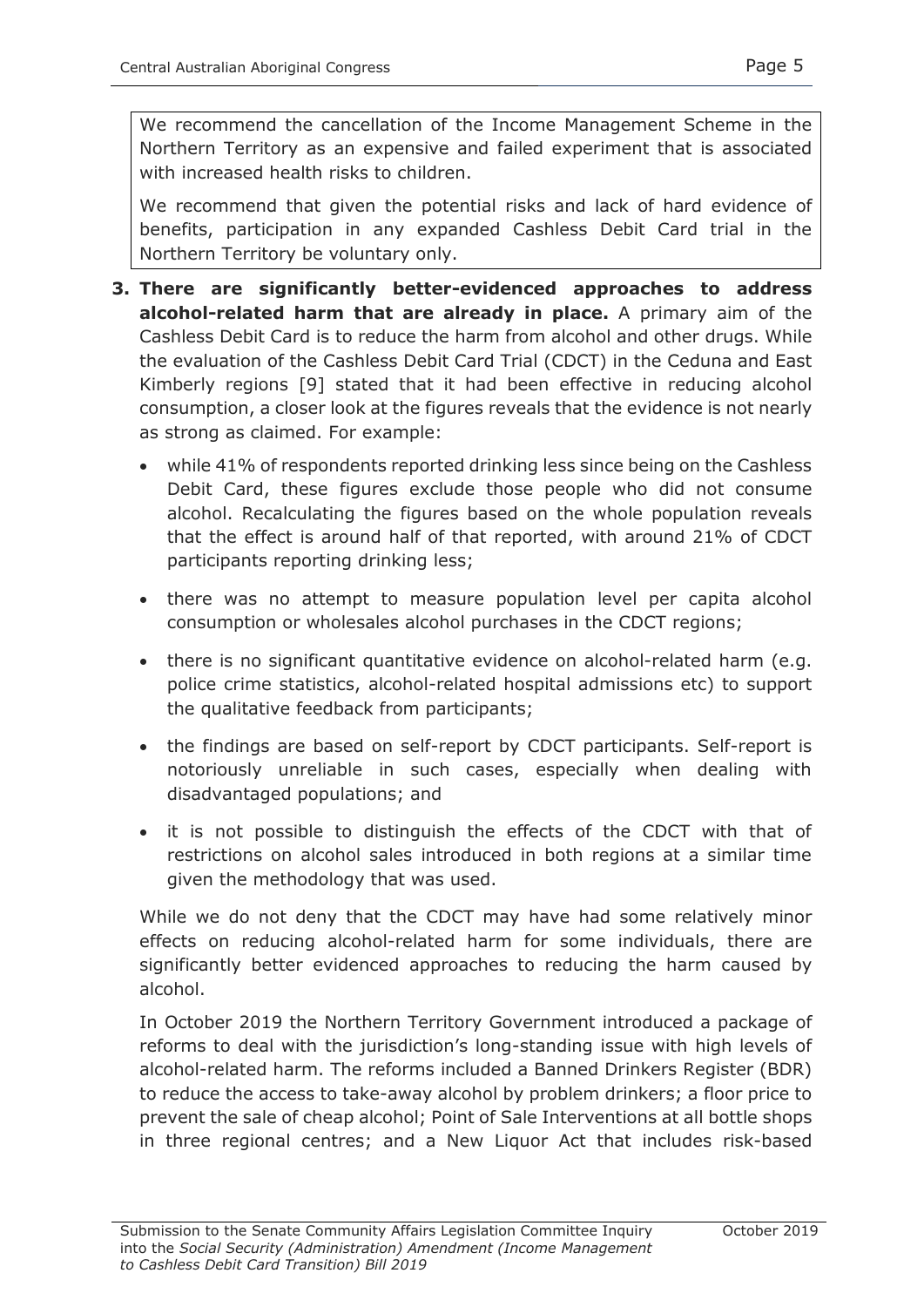We recommend the cancellation of the Income Management Scheme in the Northern Territory as an expensive and failed experiment that is associated with increased health risks to children.

We recommend that given the potential risks and lack of hard evidence of benefits, participation in any expanded Cashless Debit Card trial in the Northern Territory be voluntary only.

- **3. There are significantly better-evidenced approaches to address alcohol-related harm that are already in place.** A primary aim of the Cashless Debit Card is to reduce the harm from alcohol and other drugs. While the evaluation of the Cashless Debit Card Trial (CDCT) in the Ceduna and East Kimberly regions [9] stated that it had been effective in reducing alcohol consumption, a closer look at the figures reveals that the evidence is not nearly as strong as claimed. For example:
	- while 41% of respondents reported drinking less since being on the Cashless Debit Card, these figures exclude those people who did not consume alcohol. Recalculating the figures based on the whole population reveals that the effect is around half of that reported, with around 21% of CDCT participants reporting drinking less;
	- there was no attempt to measure population level per capita alcohol consumption or wholesales alcohol purchases in the CDCT regions;
	- there is no significant quantitative evidence on alcohol-related harm (e.g. police crime statistics, alcohol-related hospital admissions etc) to support the qualitative feedback from participants;
	- the findings are based on self-report by CDCT participants. Self-report is notoriously unreliable in such cases, especially when dealing with disadvantaged populations; and
	- it is not possible to distinguish the effects of the CDCT with that of restrictions on alcohol sales introduced in both regions at a similar time given the methodology that was used.

While we do not deny that the CDCT may have had some relatively minor effects on reducing alcohol-related harm for some individuals, there are significantly better evidenced approaches to reducing the harm caused by alcohol.

In October 2019 the Northern Territory Government introduced a package of reforms to deal with the jurisdiction's long-standing issue with high levels of alcohol-related harm. The reforms included a Banned Drinkers Register (BDR) to reduce the access to take-away alcohol by problem drinkers; a floor price to prevent the sale of cheap alcohol; Point of Sale Interventions at all bottle shops in three regional centres; and a New Liquor Act that includes risk-based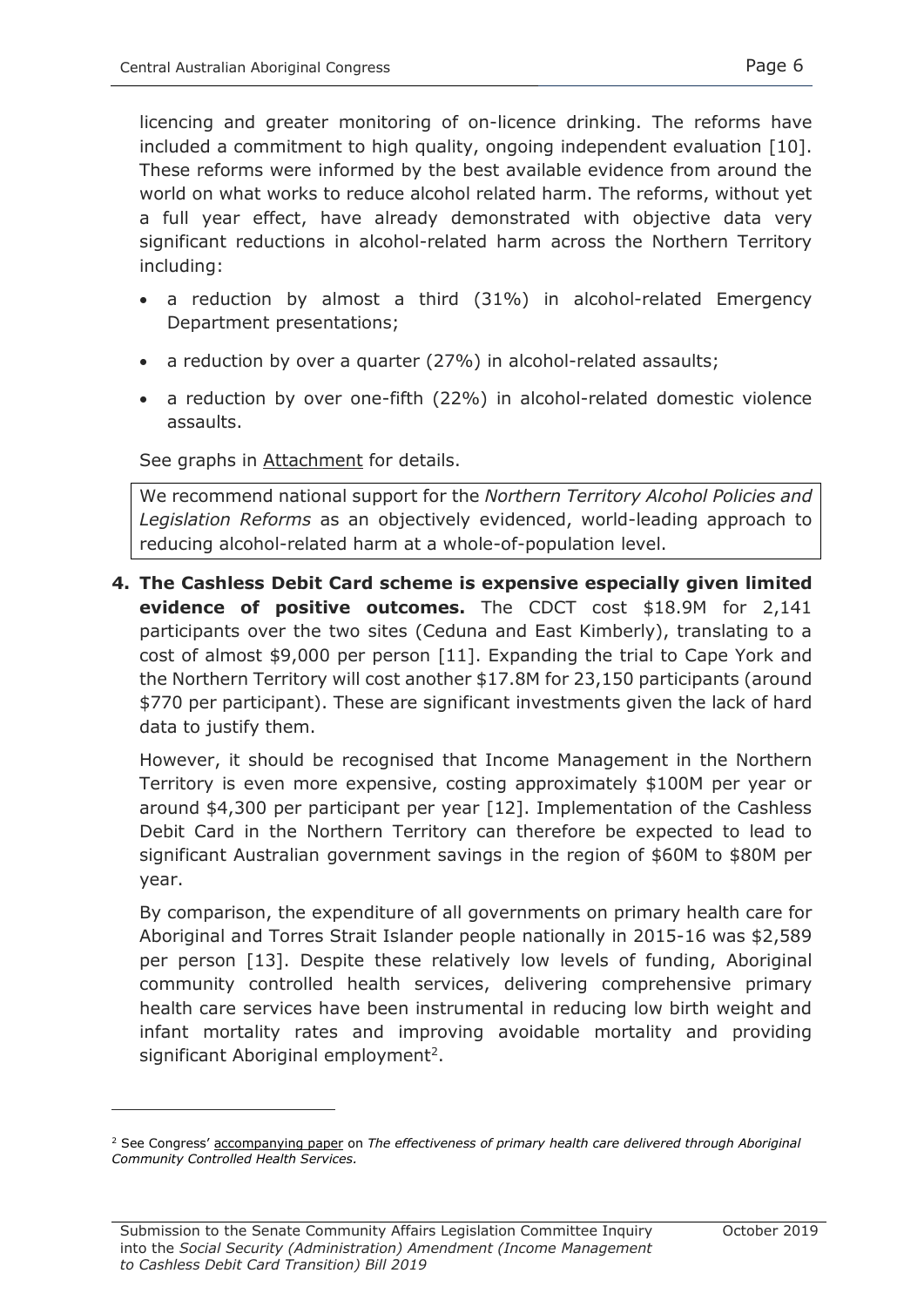licencing and greater monitoring of on-licence drinking. The reforms have included a commitment to high quality, ongoing independent evaluation [10]. These reforms were informed by the best available evidence from around the world on what works to reduce alcohol related harm. The reforms, without yet a full year effect, have already demonstrated with objective data very significant reductions in alcohol-related harm across the Northern Territory including:

- a reduction by almost a third (31%) in alcohol-related Emergency Department presentations;
- a reduction by over a quarter (27%) in alcohol-related assaults;
- a reduction by over one-fifth (22%) in alcohol-related domestic violence assaults.

See graphs in Attachment for details.

We recommend national support for the *Northern Territory Alcohol Policies and Legislation Reforms* as an objectively evidenced, world-leading approach to reducing alcohol-related harm at a whole-of-population level.

**4. The Cashless Debit Card scheme is expensive especially given limited evidence of positive outcomes.** The CDCT cost \$18.9M for 2,141 participants over the two sites (Ceduna and East Kimberly), translating to a cost of almost \$9,000 per person [11]. Expanding the trial to Cape York and the Northern Territory will cost another \$17.8M for 23,150 participants (around \$770 per participant). These are significant investments given the lack of hard data to justify them.

However, it should be recognised that Income Management in the Northern Territory is even more expensive, costing approximately \$100M per year or around \$4,300 per participant per year [12]. Implementation of the Cashless Debit Card in the Northern Territory can therefore be expected to lead to significant Australian government savings in the region of \$60M to \$80M per year.

By comparison, the expenditure of all governments on primary health care for Aboriginal and Torres Strait Islander people nationally in 2015-16 was \$2,589 per person [13]. Despite these relatively low levels of funding, Aboriginal community controlled health services, delivering comprehensive primary health care services have been instrumental in reducing low birth weight and infant mortality rates and improving avoidable mortality and providing significant Aboriginal employment<sup>2</sup>.

-

<sup>2</sup> See Congress' accompanying paper on *The effectiveness of primary health care delivered through Aboriginal Community Controlled Health Services.*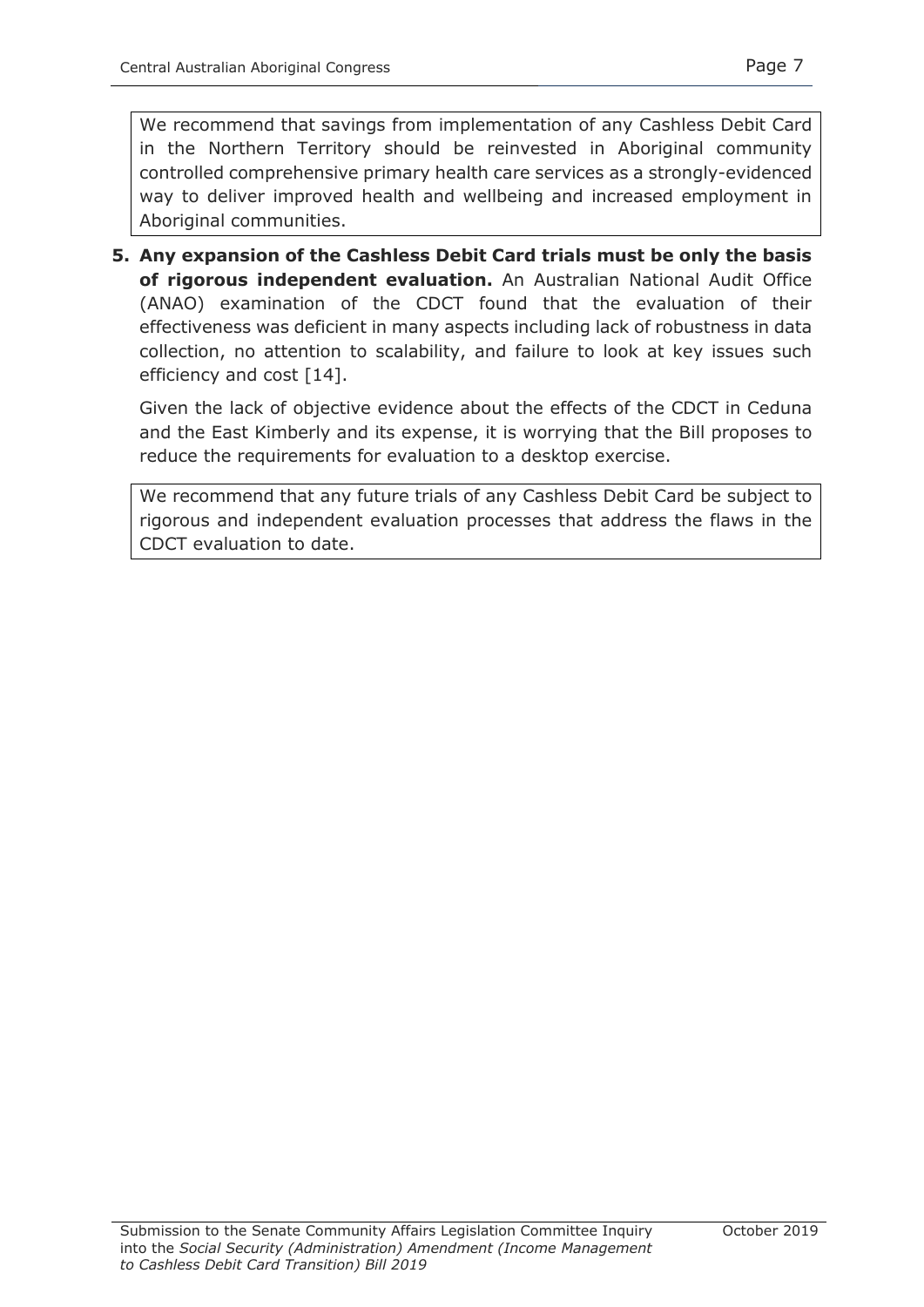We recommend that savings from implementation of any Cashless Debit Card in the Northern Territory should be reinvested in Aboriginal community controlled comprehensive primary health care services as a strongly-evidenced way to deliver improved health and wellbeing and increased employment in Aboriginal communities.

**5. Any expansion of the Cashless Debit Card trials must be only the basis of rigorous independent evaluation.** An Australian National Audit Office (ANAO) examination of the CDCT found that the evaluation of their effectiveness was deficient in many aspects including lack of robustness in data collection, no attention to scalability, and failure to look at key issues such efficiency and cost [14].

Given the lack of objective evidence about the effects of the CDCT in Ceduna and the East Kimberly and its expense, it is worrying that the Bill proposes to reduce the requirements for evaluation to a desktop exercise.

We recommend that any future trials of any Cashless Debit Card be subject to rigorous and independent evaluation processes that address the flaws in the CDCT evaluation to date.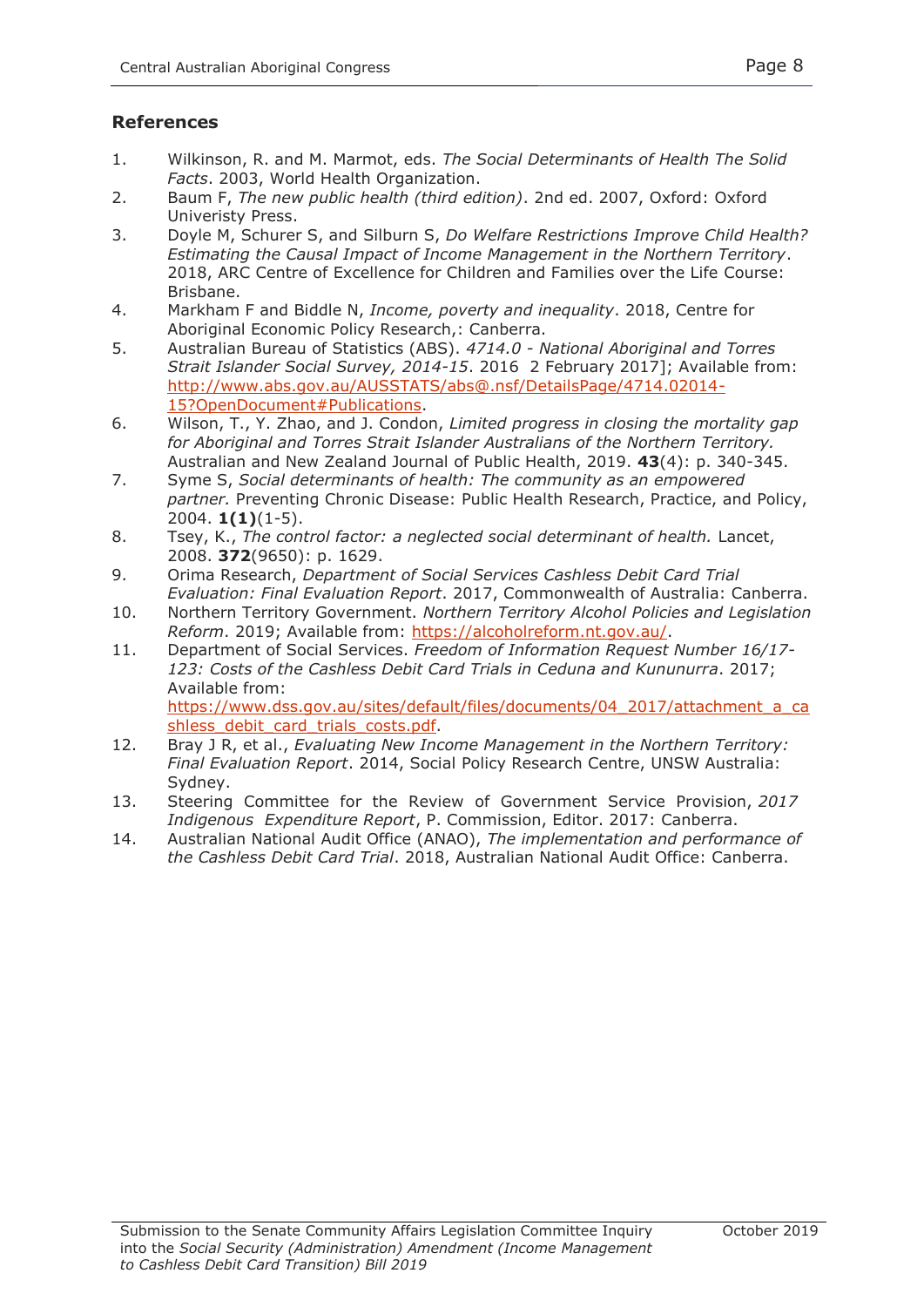#### **References**

- 1. Wilkinson, R. and M. Marmot, eds. *The Social Determinants of Health The Solid Facts*. 2003, World Health Organization.
- 2. Baum F, *The new public health (third edition)*. 2nd ed. 2007, Oxford: Oxford Univeristy Press.
- 3. Doyle M, Schurer S, and Silburn S, *Do Welfare Restrictions Improve Child Health? Estimating the Causal Impact of Income Management in the Northern Territory*. 2018, ARC Centre of Excellence for Children and Families over the Life Course: Brisbane.
- 4. Markham F and Biddle N, *Income, poverty and inequality*. 2018, Centre for Aboriginal Economic Policy Research,: Canberra.
- 5. Australian Bureau of Statistics (ABS). *4714.0 - National Aboriginal and Torres Strait Islander Social Survey, 2014-15*. 2016 2 February 2017]; Available from: [http://www.abs.gov.au/AUSSTATS/abs@.nsf/DetailsPage/4714.02014-](http://www.abs.gov.au/AUSSTATS/abs@.nsf/DetailsPage/4714.02014-15?OpenDocument#Publications) [15?OpenDocument#Publications.](http://www.abs.gov.au/AUSSTATS/abs@.nsf/DetailsPage/4714.02014-15?OpenDocument#Publications)
- 6. Wilson, T., Y. Zhao, and J. Condon, *Limited progress in closing the mortality gap for Aboriginal and Torres Strait Islander Australians of the Northern Territory.* Australian and New Zealand Journal of Public Health, 2019. **43**(4): p. 340-345.
- 7. Syme S, *Social determinants of health: The community as an empowered partner.* Preventing Chronic Disease: Public Health Research, Practice, and Policy, 2004. **1(1)**(1-5).
- 8. Tsey, K., *The control factor: a neglected social determinant of health.* Lancet, 2008. **372**(9650): p. 1629.
- 9. Orima Research, *Department of Social Services Cashless Debit Card Trial Evaluation: Final Evaluation Report*. 2017, Commonwealth of Australia: Canberra.
- 10. Northern Territory Government. *Northern Territory Alcohol Policies and Legislation Reform*. 2019; Available from: [https://alcoholreform.nt.gov.au/.](https://alcoholreform.nt.gov.au/)
- 11. Department of Social Services. *Freedom of Information Request Number 16/17- 123: Costs of the Cashless Debit Card Trials in Ceduna and Kununurra*. 2017; Available from: [https://www.dss.gov.au/sites/default/files/documents/04\\_2017/attachment\\_a\\_ca](https://www.dss.gov.au/sites/default/files/documents/04_2017/attachment_a_cashless_debit_card_trials_costs.pdf) shless debit card trials costs.pdf.
- 12. Bray J R, et al., *Evaluating New Income Management in the Northern Territory: Final Evaluation Report*. 2014, Social Policy Research Centre, UNSW Australia: Sydney.
- 13. Steering Committee for the Review of Government Service Provision, *2017 Indigenous Expenditure Report*, P. Commission, Editor. 2017: Canberra.
- 14. Australian National Audit Office (ANAO), *The implementation and performance of the Cashless Debit Card Trial*. 2018, Australian National Audit Office: Canberra.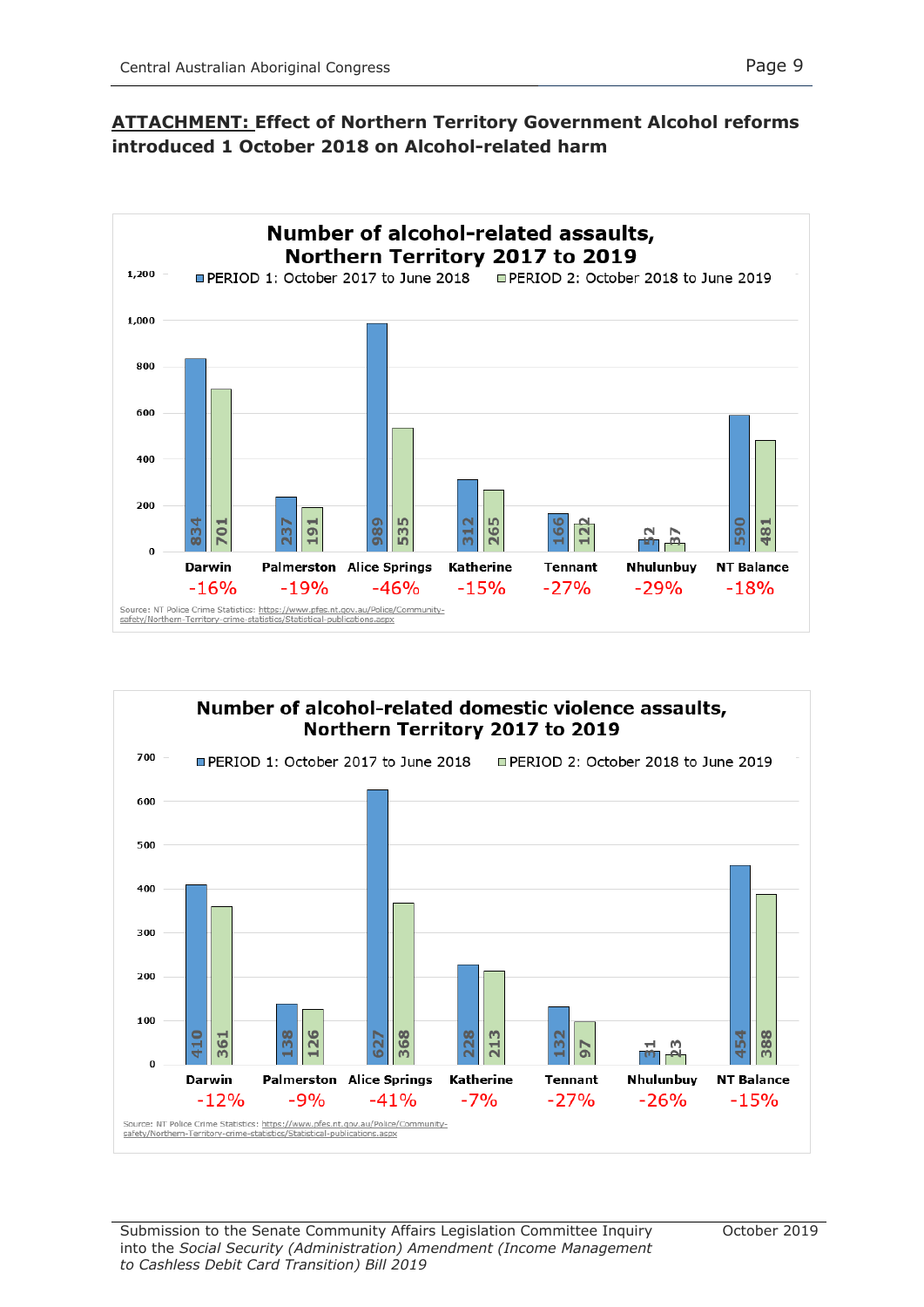### **ATTACHMENT: Effect of Northern Territory Government Alcohol reforms introduced 1 October 2018 on Alcohol-related harm**